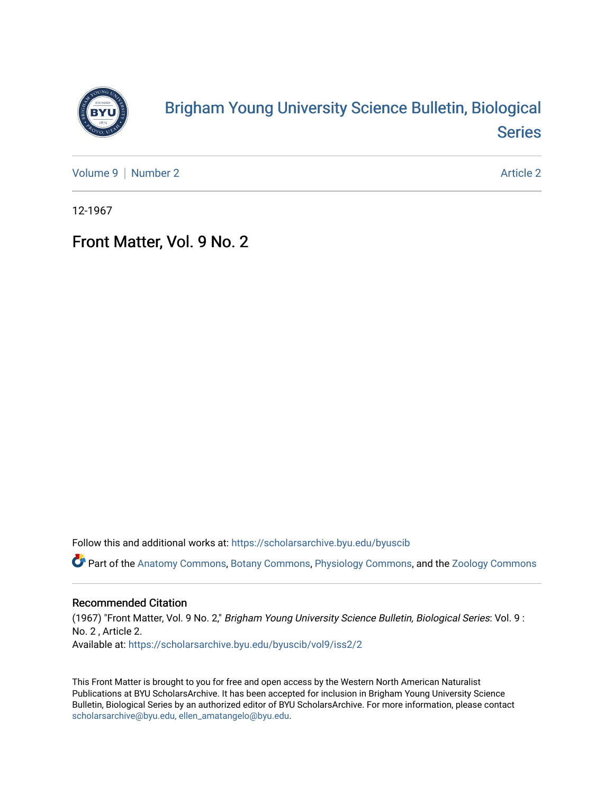

## [Brigham Young University Science Bulletin, Biological](https://scholarsarchive.byu.edu/byuscib)  [Series](https://scholarsarchive.byu.edu/byuscib)

[Volume 9](https://scholarsarchive.byu.edu/byuscib/vol9) | [Number 2](https://scholarsarchive.byu.edu/byuscib/vol9/iss2) Article 2

12-1967

## Front Matter, Vol. 9 No. 2

Follow this and additional works at: [https://scholarsarchive.byu.edu/byuscib](https://scholarsarchive.byu.edu/byuscib?utm_source=scholarsarchive.byu.edu%2Fbyuscib%2Fvol9%2Fiss2%2F2&utm_medium=PDF&utm_campaign=PDFCoverPages)

Part of the [Anatomy Commons,](http://network.bepress.com/hgg/discipline/903?utm_source=scholarsarchive.byu.edu%2Fbyuscib%2Fvol9%2Fiss2%2F2&utm_medium=PDF&utm_campaign=PDFCoverPages) [Botany Commons,](http://network.bepress.com/hgg/discipline/104?utm_source=scholarsarchive.byu.edu%2Fbyuscib%2Fvol9%2Fiss2%2F2&utm_medium=PDF&utm_campaign=PDFCoverPages) [Physiology Commons,](http://network.bepress.com/hgg/discipline/69?utm_source=scholarsarchive.byu.edu%2Fbyuscib%2Fvol9%2Fiss2%2F2&utm_medium=PDF&utm_campaign=PDFCoverPages) and the [Zoology Commons](http://network.bepress.com/hgg/discipline/81?utm_source=scholarsarchive.byu.edu%2Fbyuscib%2Fvol9%2Fiss2%2F2&utm_medium=PDF&utm_campaign=PDFCoverPages)

#### Recommended Citation

(1967) "Front Matter, Vol. 9 No. 2," Brigham Young University Science Bulletin, Biological Series: Vol. 9 : No. 2 , Article 2. Available at: [https://scholarsarchive.byu.edu/byuscib/vol9/iss2/2](https://scholarsarchive.byu.edu/byuscib/vol9/iss2/2?utm_source=scholarsarchive.byu.edu%2Fbyuscib%2Fvol9%2Fiss2%2F2&utm_medium=PDF&utm_campaign=PDFCoverPages)

This Front Matter is brought to you for free and open access by the Western North American Naturalist Publications at BYU ScholarsArchive. It has been accepted for inclusion in Brigham Young University Science Bulletin, Biological Series by an authorized editor of BYU ScholarsArchive. For more information, please contact [scholarsarchive@byu.edu, ellen\\_amatangelo@byu.edu](mailto:scholarsarchive@byu.edu,%20ellen_amatangelo@byu.edu).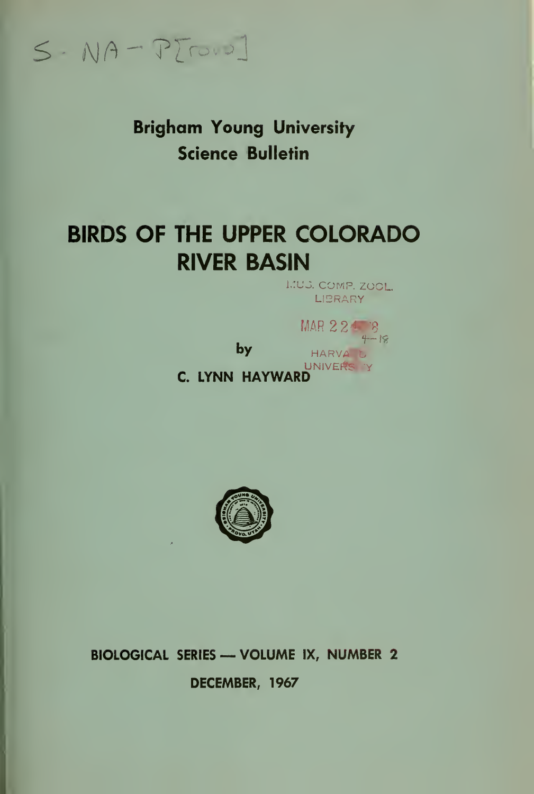$S-NA-PTD.2]$ 

**Brigham Young University Science Bulletin** 

# **BIRDS OF THE UPPER COLORADO RIVER BASIN**

**I.IU.S. COMP. ZOOL.** LIBRARY

by



C. LYNN HAYWARD



BIOLOGICAL SERIES - VOLUME IX, NUMBER 2

DECEMBER, 1967